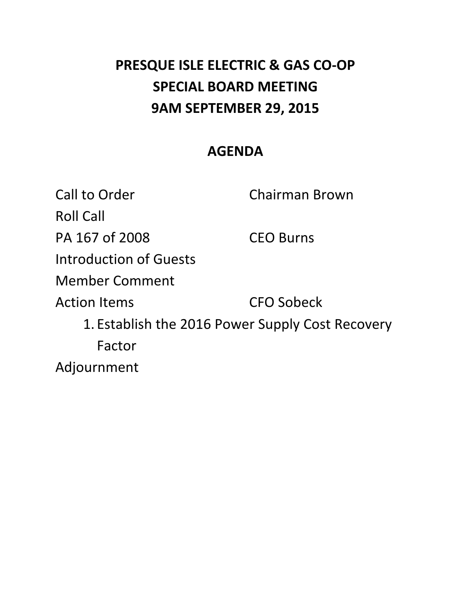# **PRESQUE ISLE ELECTRIC & GAS CO‐OP SPECIAL BOARD MEETING 9AM SEPTEMBER 29, 2015**

## **AGENDA**

Call to Order **Chairman Brown**  Roll Call PA 167 of 2008 CEO Burns Introduction of Guests **CFO Sobeck**  1. Establish the 2016 Power Supply Cost Recovery Member Comment **Action Items** Factor Adjournment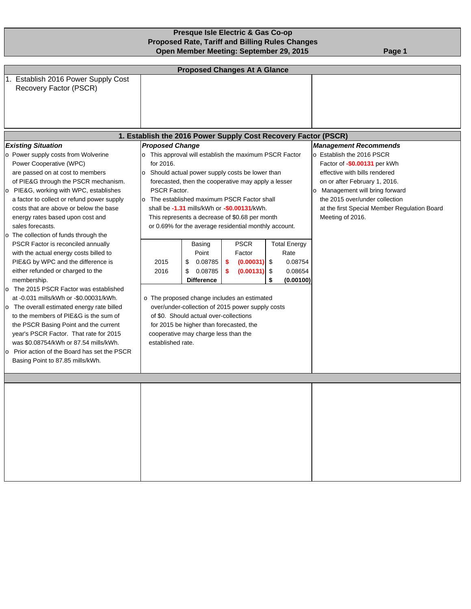### **Presque Isle Electric & Gas Co-op Proposed Rate, Tariff and Billing Rules Changes Open Member Meeting: September 29, 2015** Page 1

| <b>Proposed Changes At A Glance</b>                                                                                                                                                                                                                                                                                                                                                                                                                                                                                                                                                                        |                                   |                                                                                                                                                                                                     |                                                                                                                                                                                                                                                                                                                   |                                                                                                                                                                                                                                                                           |                                                                |  |  |  |  |  |
|------------------------------------------------------------------------------------------------------------------------------------------------------------------------------------------------------------------------------------------------------------------------------------------------------------------------------------------------------------------------------------------------------------------------------------------------------------------------------------------------------------------------------------------------------------------------------------------------------------|-----------------------------------|-----------------------------------------------------------------------------------------------------------------------------------------------------------------------------------------------------|-------------------------------------------------------------------------------------------------------------------------------------------------------------------------------------------------------------------------------------------------------------------------------------------------------------------|---------------------------------------------------------------------------------------------------------------------------------------------------------------------------------------------------------------------------------------------------------------------------|----------------------------------------------------------------|--|--|--|--|--|
| 1. Establish 2016 Power Supply Cost<br>Recovery Factor (PSCR)                                                                                                                                                                                                                                                                                                                                                                                                                                                                                                                                              |                                   |                                                                                                                                                                                                     |                                                                                                                                                                                                                                                                                                                   |                                                                                                                                                                                                                                                                           |                                                                |  |  |  |  |  |
|                                                                                                                                                                                                                                                                                                                                                                                                                                                                                                                                                                                                            |                                   |                                                                                                                                                                                                     |                                                                                                                                                                                                                                                                                                                   |                                                                                                                                                                                                                                                                           | 1. Establish the 2016 Power Supply Cost Recovery Factor (PSCR) |  |  |  |  |  |
| <b>Existing Situation</b>                                                                                                                                                                                                                                                                                                                                                                                                                                                                                                                                                                                  | <b>Proposed Change</b>            |                                                                                                                                                                                                     |                                                                                                                                                                                                                                                                                                                   |                                                                                                                                                                                                                                                                           | <b>Management Recommends</b>                                   |  |  |  |  |  |
| o Power supply costs from Wolverine<br>Power Cooperative (WPC)<br>are passed on at cost to members<br>of PIE&G through the PSCR mechanism.<br>o PIE&G, working with WPC, establishes<br>a factor to collect or refund power supply<br>costs that are above or below the base<br>energy rates based upon cost and                                                                                                                                                                                                                                                                                           | for 2016.<br><b>PSCR Factor.</b>  |                                                                                                                                                                                                     | o This approval will establish the maximum PSCR Factor<br>o Should actual power supply costs be lower than<br>forecasted, then the cooperative may apply a lesser<br>o The established maximum PSCR Factor shall<br>shall be -1.31 mills/kWh or -\$0.00131/kWh.<br>This represents a decrease of \$0.68 per month | o Establish the 2016 PSCR<br>Factor of -\$0.00131 per kWh<br>effective with bills rendered<br>on or after February 1, 2016.<br>Management will bring forward<br>lo.<br>the 2015 over/under collection<br>at the first Special Member Regulation Board<br>Meeting of 2016. |                                                                |  |  |  |  |  |
| sales forecasts.                                                                                                                                                                                                                                                                                                                                                                                                                                                                                                                                                                                           |                                   |                                                                                                                                                                                                     | or 0.69% for the average residential monthly account.                                                                                                                                                                                                                                                             |                                                                                                                                                                                                                                                                           |                                                                |  |  |  |  |  |
| o The collection of funds through the<br>PSCR Factor is reconciled annually<br>with the actual energy costs billed to<br>PIE&G by WPC and the difference is<br>either refunded or charged to the<br>membership.<br>o The 2015 PSCR Factor was established<br>at -0.031 mills/kWh or -\$0.00031/kWh.<br>o The overall estimated energy rate billed<br>to the members of PIE&G is the sum of<br>the PSCR Basing Point and the current<br>year's PSCR Factor. That rate for 2015<br>was \$0.08754/kWh or 87.54 mills/kWh.<br>o Prior action of the Board has set the PSCR<br>Basing Point to 87.85 mills/kWh. | 2015<br>2016<br>established rate. | Basing<br>Point<br>0.08785<br>\$<br>\$<br>0.08785<br><b>Difference</b><br>of \$0. Should actual over-collections<br>for 2015 be higher than forecasted, the<br>cooperative may charge less than the | <b>PSCR</b><br>Factor<br>\$<br>(0.00031)<br>(0.00131)<br>s.<br>o The proposed change includes an estimated<br>over/under-collection of 2015 power supply costs                                                                                                                                                    | <b>Total Energy</b><br>0.08754<br>0.08654<br>(0.00100)                                                                                                                                                                                                                    |                                                                |  |  |  |  |  |
|                                                                                                                                                                                                                                                                                                                                                                                                                                                                                                                                                                                                            |                                   |                                                                                                                                                                                                     |                                                                                                                                                                                                                                                                                                                   |                                                                                                                                                                                                                                                                           |                                                                |  |  |  |  |  |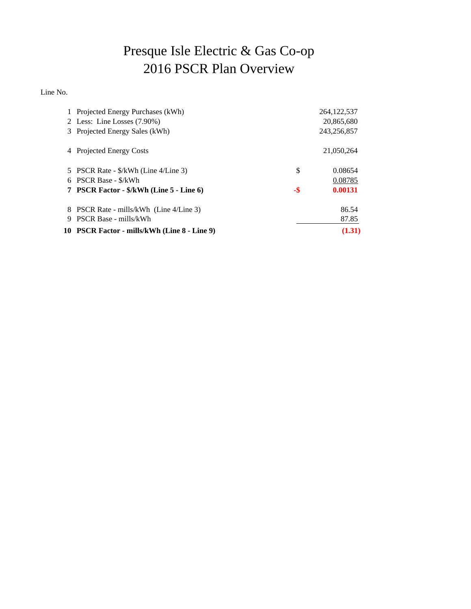## Presque Isle Electric & Gas Co-op 2016 PSCR Plan Overview

Line No.

|   | 1 Projected Energy Purchases (kWh)           |     | 264, 122, 537 |
|---|----------------------------------------------|-----|---------------|
|   | 2 Less: Line Losses (7.90%)                  |     | 20,865,680    |
|   | 3 Projected Energy Sales (kWh)               |     | 243,256,857   |
|   | 4 Projected Energy Costs                     |     | 21,050,264    |
|   | 5 PSCR Rate - \$/kWh (Line 4/Line 3)         | \$  | 0.08654       |
|   | 6 PSCR Base - \$/kWh                         |     | 0.08785       |
|   | 7 PSCR Factor - \$/kWh (Line 5 - Line 6)     | -\$ | 0.00131       |
|   | 8 PSCR Rate - mills/kWh (Line 4/Line 3)      |     | 86.54         |
| 9 | <b>PSCR Base - mills/kWh</b>                 |     | 87.85         |
|   | 10 PSCR Factor - mills/kWh (Line 8 - Line 9) |     | (1.31)        |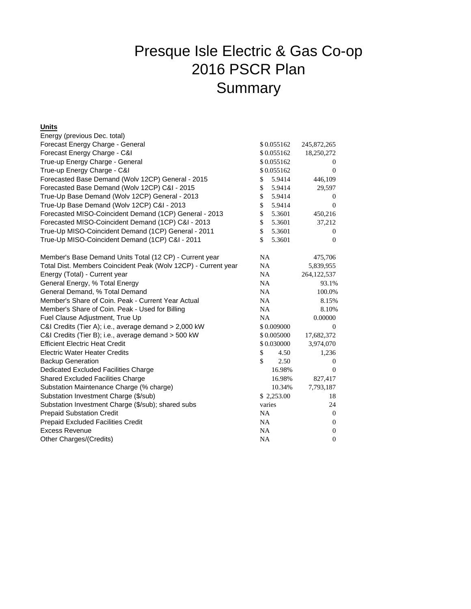## Presque Isle Electric & Gas Co-op 2016 PSCR Plan **Summary**

#### **Units**

| Energy (previous Dec. total)                                   |                        |               |  |  |
|----------------------------------------------------------------|------------------------|---------------|--|--|
| Forecast Energy Charge - General                               | \$0.055162             | 245,872,265   |  |  |
| Forecast Energy Charge - C&I                                   | \$0.055162             | 18,250,272    |  |  |
| True-up Energy Charge - General                                | \$0.055162             | $\bf{0}$      |  |  |
| True-up Energy Charge - C&I                                    | \$0.055162             | $\theta$      |  |  |
| Forecasted Base Demand (Wolv 12CP) General - 2015              | \$<br>5.9414           | 446,109       |  |  |
| Forecasted Base Demand (Wolv 12CP) C&I - 2015                  | \$<br>5.9414           | 29,597        |  |  |
| True-Up Base Demand (Wolv 12CP) General - 2013                 | \$<br>5.9414           | 0             |  |  |
| True-Up Base Demand (Wolv 12CP) C&I - 2013                     | \$<br>5.9414           | $\Omega$      |  |  |
| Forecasted MISO-Coincident Demand (1CP) General - 2013         | \$<br>5.3601           | 450,216       |  |  |
| Forecasted MISO-Coincident Demand (1CP) C&I - 2013             | \$<br>5.3601           | 37,212        |  |  |
| True-Up MISO-Coincident Demand (1CP) General - 2011            | $\mathbb{S}$<br>5.3601 | 0             |  |  |
| True-Up MISO-Coincident Demand (1CP) C&I - 2011                | \$<br>5.3601           | $\mathbf{0}$  |  |  |
| Member's Base Demand Units Total (12 CP) - Current year        | NA                     | 475,706       |  |  |
| Total Dist. Members Coincident Peak (Wolv 12CP) - Current year | NA                     | 5,839,955     |  |  |
| Energy (Total) - Current year                                  | NA                     | 264, 122, 537 |  |  |
| General Energy, % Total Energy                                 | <b>NA</b>              | 93.1%         |  |  |
| General Demand, % Total Demand                                 | <b>NA</b>              | 100.0%        |  |  |
| Member's Share of Coin, Peak - Current Year Actual             | NA                     | 8.15%         |  |  |
| Member's Share of Coin. Peak - Used for Billing                | NA                     | 8.10%         |  |  |
| Fuel Clause Adjustment, True Up                                | <b>NA</b>              | 0.00000       |  |  |
| C&I Credits (Tier A); i.e., average demand > 2,000 kW          | \$0.009000             | $\mathbf{0}$  |  |  |
| C&I Credits (Tier B); i.e., average demand > 500 kW            | \$0.005000             | 17,682,372    |  |  |
| <b>Efficient Electric Heat Credit</b>                          | \$0.030000             | 3,974,070     |  |  |
| <b>Electric Water Heater Credits</b>                           | \$<br>4.50             | 1,236         |  |  |
| <b>Backup Generation</b>                                       | \$<br>2.50             | 0             |  |  |
| Dedicated Excluded Facilities Charge                           | 16.98%                 | $\theta$      |  |  |
| <b>Shared Excluded Facilities Charge</b>                       | 16.98%                 | 827,417       |  |  |
| Substation Maintenance Charge (% charge)                       | 10.34%                 | 7,793,187     |  |  |
| Substation Investment Charge (\$/sub)                          | \$2,253.00             | 18            |  |  |
| Substation Investment Charge (\$/sub); shared subs             | varies                 | 24            |  |  |
| <b>Prepaid Substation Credit</b>                               | <b>NA</b>              | $\mathbf{0}$  |  |  |
| Prepaid Excluded Facilities Credit                             | <b>NA</b>              | $\mathbf{0}$  |  |  |
| <b>Excess Revenue</b>                                          | NA                     | $\mathbf{0}$  |  |  |
| Other Charges/(Credits)                                        | NA                     | $\mathbf{0}$  |  |  |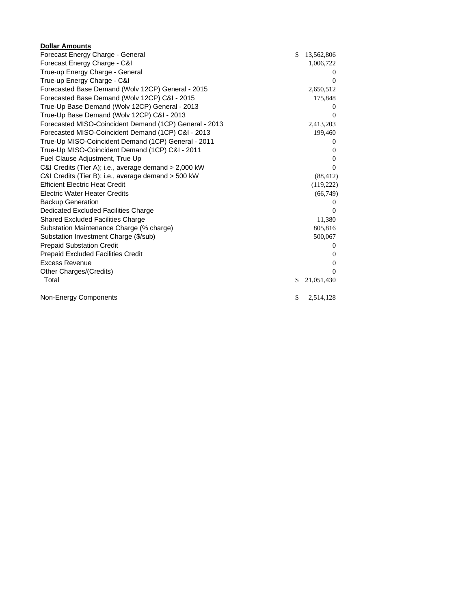| <b>Dollar Amounts</b>                                  |                  |
|--------------------------------------------------------|------------------|
| Forecast Energy Charge - General                       | \$<br>13,562,806 |
| Forecast Energy Charge - C&I                           | 1,006,722        |
| True-up Energy Charge - General                        | $\theta$         |
| True-up Energy Charge - C&I                            | $\Omega$         |
| Forecasted Base Demand (Wolv 12CP) General - 2015      | 2,650,512        |
| Forecasted Base Demand (Wolv 12CP) C&I - 2015          | 175,848          |
| True-Up Base Demand (Wolv 12CP) General - 2013         | $\theta$         |
| True-Up Base Demand (Wolv 12CP) C&I - 2013             | $\Omega$         |
| Forecasted MISO-Coincident Demand (1CP) General - 2013 | 2,413,203        |
| Forecasted MISO-Coincident Demand (1CP) C&I - 2013     | 199,460          |
| True-Up MISO-Coincident Demand (1CP) General - 2011    | $\theta$         |
| True-Up MISO-Coincident Demand (1CP) C&I - 2011        | $\Omega$         |
| Fuel Clause Adjustment, True Up                        | $\mathbf{0}$     |
| C&I Credits (Tier A); i.e., average demand > 2,000 kW  | $\Omega$         |
| C&I Credits (Tier B); i.e., average demand > 500 kW    | (88, 412)        |
| <b>Efficient Electric Heat Credit</b>                  | (119,222)        |
| Electric Water Heater Credits                          | (66,749)         |
| <b>Backup Generation</b>                               | $\Omega$         |
| Dedicated Excluded Facilities Charge                   | $\Omega$         |
| <b>Shared Excluded Facilities Charge</b>               | 11,380           |
| Substation Maintenance Charge (% charge)               | 805,816          |
| Substation Investment Charge (\$/sub)                  | 500,067          |
| <b>Prepaid Substation Credit</b>                       | $\mathbf{0}$     |
| <b>Prepaid Excluded Facilities Credit</b>              | $\Omega$         |
| Excess Revenue                                         | $\Omega$         |
| Other Charges/(Credits)                                | $\Omega$         |
| Total                                                  | \$<br>21,051,430 |
| Non-Energy Components                                  | \$<br>2,514,128  |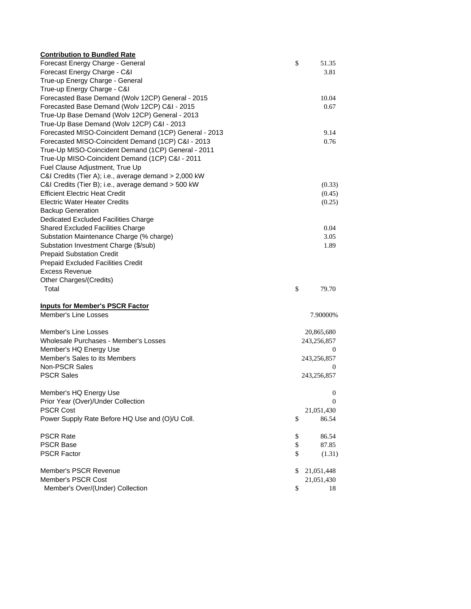| <b>Contribution to Bundled Rate</b>                    |                  |
|--------------------------------------------------------|------------------|
| Forecast Energy Charge - General                       | \$<br>51.35      |
| Forecast Energy Charge - C&I                           | 3.81             |
| True-up Energy Charge - General                        |                  |
| True-up Energy Charge - C&I                            |                  |
| Forecasted Base Demand (Wolv 12CP) General - 2015      | 10.04            |
| Forecasted Base Demand (Wolv 12CP) C&I - 2015          | 0.67             |
| True-Up Base Demand (Wolv 12CP) General - 2013         |                  |
| True-Up Base Demand (Wolv 12CP) C&I - 2013             |                  |
| Forecasted MISO-Coincident Demand (1CP) General - 2013 | 9.14             |
| Forecasted MISO-Coincident Demand (1CP) C&I - 2013     | 0.76             |
| True-Up MISO-Coincident Demand (1CP) General - 2011    |                  |
| True-Up MISO-Coincident Demand (1CP) C&I - 2011        |                  |
| Fuel Clause Adjustment, True Up                        |                  |
| C&I Credits (Tier A); i.e., average demand > 2,000 kW  |                  |
| C&I Credits (Tier B); i.e., average demand > 500 kW    | (0.33)           |
| <b>Efficient Electric Heat Credit</b>                  | (0.45)           |
| <b>Electric Water Heater Credits</b>                   | (0.25)           |
| <b>Backup Generation</b>                               |                  |
| Dedicated Excluded Facilities Charge                   |                  |
| <b>Shared Excluded Facilities Charge</b>               | 0.04             |
| Substation Maintenance Charge (% charge)               | 3.05             |
| Substation Investment Charge (\$/sub)                  | 1.89             |
| <b>Prepaid Substation Credit</b>                       |                  |
| Prepaid Excluded Facilities Credit                     |                  |
| <b>Excess Revenue</b>                                  |                  |
| Other Charges/(Credits)                                |                  |
| Total                                                  | \$<br>79.70      |
| <b>Inputs for Member's PSCR Factor</b>                 |                  |
| Member's Line Losses                                   | 7.90000%         |
| Member's Line Losses                                   | 20,865,680       |
| Wholesale Purchases - Member's Losses                  | 243,256,857      |
| Member's HQ Energy Use                                 | $\mathbf{0}$     |
| Member's Sales to its Members                          | 243,256,857      |
| Non-PSCR Sales                                         | 0                |
| <b>PSCR Sales</b>                                      | 243,256,857      |
| Member's HQ Energy Use                                 | 0                |
| Prior Year (Over)/Under Collection                     | 0                |
| <b>PSCR Cost</b>                                       | 21,051,430       |
| Power Supply Rate Before HQ Use and (O)/U Coll.        | \$<br>86.54      |
| <b>PSCR Rate</b>                                       | \$<br>86.54      |
| <b>PSCR Base</b>                                       | \$<br>87.85      |
| <b>PSCR Factor</b>                                     | \$<br>(1.31)     |
| Member's PSCR Revenue                                  | \$<br>21,051,448 |
| Member's PSCR Cost                                     | 21,051,430       |
| Member's Over/(Under) Collection                       | \$<br>18         |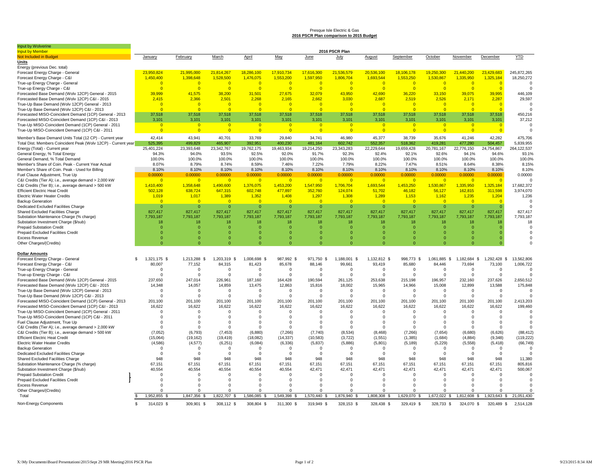#### Presque Isle Electric & Gas **2016 PSCR Plan comparison to 2015 Budget**

| Input by Wolverine                                                                   |                    |                 |                 |                 |                 |                 |                 |                 |                 |                  |                  |                 |                 |
|--------------------------------------------------------------------------------------|--------------------|-----------------|-----------------|-----------------|-----------------|-----------------|-----------------|-----------------|-----------------|------------------|------------------|-----------------|-----------------|
| <b>Input by Member</b>                                                               |                    |                 |                 |                 |                 |                 | 2016 PSCR Plan  |                 |                 |                  |                  |                 |                 |
| Not Included in Budget                                                               | January            | February        | March           | April           | May             | June            | July            | <b>August</b>   | September       | October          | November         | December        | YTD             |
| Units                                                                                |                    |                 |                 |                 |                 |                 |                 |                 |                 |                  |                  |                 |                 |
| Energy (previous Dec. total)                                                         |                    |                 |                 |                 |                 |                 |                 |                 |                 |                  |                  |                 |                 |
| Forecast Energy Charge - General                                                     | 23,950,824         | 21.995.000      | 21,814,267      | 18.286.100      | 17,910,734      | 17,616,300      | 21.536.579      | 20,536,100      | 18,106,178      | 19,250,300       | 21.440.200       | 23.429.683      | 245.872.265     |
| Forecast Energy Charge - C&I                                                         | 1,450,400          | 1,398,648       | 1,528,500       | 1,476,075       | 1,553,200       | 1,597,950       | 1,806,704       | 1,693,544       | 1,553,250       | 1,530,867        | 1,335,950        | 1,325,184       | 18,250,272      |
| True-up Energy Charge - General                                                      | $\Omega$           | $\overline{0}$  | $\overline{0}$  | $\overline{0}$  | $\overline{0}$  | $\overline{0}$  | $\overline{0}$  | $\overline{0}$  | $\overline{0}$  | $\overline{0}$   | $\overline{0}$   | $\overline{0}$  | 0               |
| True-up Energy Charge - C&I                                                          |                    | $\overline{0}$  | $\overline{0}$  | $\Omega$        | $\Omega$        | $\Omega$        | $\Omega$        | $\Omega$        | $\overline{0}$  | C                | $\Omega$         |                 | $\Omega$        |
| Forecasted Base Demand (Wolv 12CP) General - 2015                                    | 39,999             | 41,575          | 38,200          | 31,501          | 27,675          | 32,079          | 43,950          | 42,690          | 36,220          | 33,150           | 39,075           | 39,995          | 446,109         |
| Forecasted Base Demand (Wolv 12CP) C&I - 2015                                        | 2,415              | 2,366           | 2,501           | 2,268           | 2,165           | 2,662           | 3,030           | 2,687           | 2,519           | 2,526            | 2,171            | 2,287           | 29,597          |
| True-Up Base Demand (Wolv 12CP) General - 2013                                       | $\Omega$           | $\Omega$        | $\overline{0}$  | $\Omega$        | $\overline{0}$  | $\overline{0}$  | $\Omega$        | $\Omega$        | $\Omega$        | $\Omega$         | $\Omega$         | $\Omega$        | $\Omega$        |
| True-Up Base Demand (Wolv 12CP) C&I - 2013                                           | $\Omega$           | $\Omega$        | $\overline{0}$  | $\Omega$        | $\overline{0}$  | $\overline{0}$  | $\Omega$        | $\overline{0}$  | $\overline{0}$  | $\Omega$         | $\Omega$         | $\Omega$        |                 |
| Forecasted MISO-Coincident Demand (1CP) General - 2013                               | 37,518             | 37.518          | 37,518          | 37,518          | 37.518          | 37.518          | 37.518          | 37,518          | 37.518          | 37,518           | 37,518           | 37.518          | 450,216         |
| Forecasted MISO-Coincident Demand (1CP) C&I - 2013                                   | 3,101              | 3,101           | 3,101           | 3,101           | 3,101           | 3,101           | 3,101           | 3,101           | 3,101           | 3,101            | 3,101            | 3,101           | 37,212          |
| True-Up MISO-Coincident Demand (1CP) General - 2011                                  | -0                 | $\mathbf{0}$    | $\overline{0}$  | $\mathbf{0}$    | $\mathbf{0}$    | -0              | $\mathbf{0}$    | $\mathbf{0}$    | -0              | -0               | $\mathbf{0}$     | - 0             |                 |
| True-Up MISO-Coincident Demand (1CP) C&I - 2011                                      |                    | $\Omega$        | $\overline{0}$  | $\overline{0}$  | $\overline{0}$  | $\Omega$        | $\Omega$        | $\overline{0}$  | $\overline{0}$  | $\Omega$         | $\Omega$         | $\overline{0}$  |                 |
| Member's Base Demand Units Total (12 CP) - Current year                              | 42,414             | 43,941          | 40,701          | 33,769          | 29,840          | 34,741          | 46,980          | 45,377          | 38,739          | 35,676           | 41,246           | 42,282          | 475,706         |
| Total Dist. Members Coincident Peak (Wolv 12CP) - Current year                       | 525,395            | 499,829         | 465,907         | 392,951         | 400,230         | 481,164         | 602,742         | 552,357         | 518,362         | 419,281          | 477,280          | 504,457         | 5,839,955       |
| Energy (Total) - Current year                                                        | 25,401,224         | 23,393,648      | 23,342,767      | 19,762,175      | 19,463,934      | 19,214,250      | 23,343,283      | 22,229,644      | 19,659,428      | 20,781,167       | 22,776,150       | 24,754,867      | 264,122,537     |
|                                                                                      | 94.3%              | 94.0%           | 93.5%           | 92.5%           | 92.0%           | 91.7%           | 92.3%           | 92.4%           | 92.1%           | 92.6%            | 94.1%            | 94.6%           | 93.1%           |
| General Energy, % Total Energy                                                       |                    |                 |                 |                 |                 |                 |                 |                 |                 |                  |                  |                 |                 |
| General Demand, % Total Demand<br>Member's Share of Coin. Peak - Current Year Actual | 100.0%<br>8.07%    | 100.0%<br>8.79% | 100.0%<br>8.74% | 100.0%<br>8.59% | 100.0%<br>7.46% | 100.0%<br>7.22% | 100.0%<br>7.79% | 100.0%<br>8.22% | 100.0%<br>7.47% | 100.0%<br>8.51%  | 100.0%<br>8.64%  | 100.0%<br>8.38% | 100.0%<br>8.15% |
|                                                                                      |                    |                 |                 |                 |                 |                 |                 |                 |                 |                  |                  |                 |                 |
| Member's Share of Coin. Peak - Used for Billing                                      | 8.10%              | 8.10%           | 8.10%           | 8.10%           | 8.10%           | 8.10%           | 8.10%           | 8.10%           | 8.10%           | 8.10%            | 8.10%            | 8.10%           | 8.10%           |
| Fuel Clause Adjustment, True Up                                                      | 0.00000            | 0.00000         | 0.00000         | 0.00000         | 0.00000         | 0.00000         | 0.00000         | 0.00000         | 0.00000         | 0.00000          | 0.00000          | 0.00000         | 0.00000         |
| C&I Credits (Tier A); i.e., average demand > 2,000 kW                                | $\Omega$           | $\Omega$        | $\overline{0}$  | $\overline{0}$  | $\overline{0}$  | - 0             | $\Omega$        | $\overline{0}$  | $\overline{0}$  | - 0              | $\Omega$         | $\Omega$        | $\Omega$        |
| C&I Credits (Tier B); i.e., average demand > 500 kW                                  | 1,410,400          | 1,358,648       | 1,490,600       | 1,376,075       | 1,453,200       | 1,547,950       | 1,706,704       | 1,693,544       | 1,453,250       | 1,530,867        | 1,335,950        | 1,325,184       | 17,682,372      |
| <b>Efficient Electric Heat Credit</b>                                                | 502,128            | 638,724         | 647,315         | 602,748         | 477,897         | 352,760         | 124,074         | 51,702          | 46,182          | 56,127           | 162,815          | 311,598         | 3,974,070       |
| Electric Water Heater Credits                                                        | 1,019              | 1,017           | 1,389           | 1,352           | 1,408           | 1,297           | 1,308           | 1,289           | 1,153           | 1,162            | 1,235            | 1,204           | 1,236           |
| <b>Backup Generation</b>                                                             |                    | $\Omega$        | $\overline{0}$  | $\Omega$        | - 0             | $\sqrt{ }$      | $\Omega$        | $\Omega$        | $\overline{0}$  | $\Omega$         | $\Omega$         |                 |                 |
| Dedicated Excluded Facilities Charge                                                 | $\Omega$           | $\Omega$        | $\overline{0}$  | $\Omega$        | $\Omega$        | $\Omega$        | $\Omega$        | $\Omega$        | $\Omega$        | $\Omega$         | $\Omega$         | $\Omega$        |                 |
| Shared Excluded Facilities Charge                                                    | 827,417            | 827,417         | 827,417         | 827,417         | 827,417         | 827,417         | 827,417         | 827,417         | 827,417         | 827,417          | 827,417          | 827,417         | 827,417         |
| Substation Maintenance Charge (% charge)                                             | 7,793,187          | 7,793,187       | 7,793,187       | 7,793,187       | 7,793,187       | 7,793,187       | 7,793,187       | 7,793,187       | 7,793,187       | 7,793,187        | 7,793,187        | 7,793,187       | 7,793,187       |
| Substation Investment Charge (\$/sub)                                                | 18                 | 18              | 18              | 18              | 18              | 18              | 18              | 18              | 18              | 18               | 18               | 18              | 18              |
| <b>Prepaid Substation Credit</b>                                                     |                    | $\Omega$        | - 0             | $\Omega$        | $\mathbf{0}$    | O               | $\Omega$        | $\Omega$        | 0               | <b>r</b>         | $\Omega$         |                 | $\Omega$        |
| Prepaid Excluded Facilities Credit                                                   |                    | $\Omega$        | $\Omega$        | $\Omega$        | $\Omega$        |                 | $\Omega$        | $\Omega$        | $\Omega$        |                  | $\Omega$         |                 |                 |
| <b>Excess Revenue</b>                                                                | $\Omega$           | $\Omega$        | $\Omega$        | $\Omega$        | $\Omega$        | O               | $\Omega$        | $\Omega$        | $\Omega$        | $\Omega$         | $\Omega$         | 0               |                 |
| Other Charges/(Credits)                                                              | $\Omega$           | $\Omega$        | $\Omega$        | $\Omega$        | $\Omega$        |                 | $\Omega$        | $\Omega$        |                 |                  | $\Omega$         | $\Omega$        |                 |
|                                                                                      |                    |                 |                 |                 |                 |                 |                 |                 |                 |                  |                  |                 |                 |
| <b>Dollar Amounts</b>                                                                |                    |                 |                 |                 |                 |                 |                 |                 |                 |                  |                  |                 |                 |
| Forecast Energy Charge - General                                                     | 1,321,175 \$<br>£. | 1,213,288 \$    | 1,203,319 \$    | 1,008,698 \$    | 987,992 \$      | 971,750 \$      | 1,188,001 \$    | 1,132,812 \$    | 998,773 \$      | 1,061,885<br>\$. | 1,182,684<br>-S. | 1,292,428<br>-S | 13,562,806      |
| Forecast Energy Charge - C&I                                                         | 80,007             | 77,152          | 84,315          | 81,423          | 85,678          | 88.146          | 99,661          | 93,419          | 85,680          | 84,446           | 73,694           | 73,100          | 1,006,722       |
| True-up Energy Charge - General                                                      | $\Omega$           | $\Omega$        | $\mathbf 0$     | $\Omega$        | $\mathbf 0$     | $\Omega$        | $\Omega$        | $\mathbf 0$     | $^{\circ}$      | $\Omega$         | $\Omega$         | $\Omega$        | -C              |
| True-up Energy Charge - C&I                                                          | $\Omega$           | $\mathbf 0$     | $\mathbf 0$     | $^{\circ}$      | $\mathbf 0$     | $\Omega$        | $\Omega$        | 0               | $^{\circ}$      | $\Omega$         | $\Omega$         | $\Omega$        | $\Omega$        |
| Forecasted Base Demand (Wolv 12CP) General - 2015                                    | 237,650            | 247,014         | 226,961         | 187,160         | 164,428         | 190,594         | 261,125         | 253,638         | 215,198         | 196,957          | 232,160          | 237,626         | 2,650,512       |
| Forecasted Base Demand (Wolv 12CP) C&I - 2015                                        | 14,348             | 14,057          | 14,859          | 13,475          | 12,863          | 15,816          | 18,002          | 15,965          | 14,966          | 15,008           | 12,899           | 13,588          | 175,848         |
| True-Up Base Demand (Wolv 12CP) General - 2013                                       | $\Omega$           | $\Omega$        | $\Omega$        | $\Omega$        | $\Omega$        | $\Omega$        | $\Omega$        | $\Omega$        | $\Omega$        | $\Omega$         | $\Omega$         | $\mathbf 0$     |                 |
| True-Up Base Demand (Wolv 12CP) C&I - 2013                                           | $\Omega$           | $\Omega$        | $\Omega$        | $\Omega$        | $\Omega$        | $\Omega$        | $\Omega$        | $\Omega$        | $\Omega$        | $\Omega$         | $\Omega$         | $\Omega$        |                 |
| Forecasted MISO-Coincident Demand (1CP) General - 2013                               | 201,100            | 201,100         | 201,100         | 201,100         | 201,100         | 201,100         | 201,100         | 201,100         | 201,100         | 201,100          | 201,100          | 201,100         | 2,413,203       |
| Forecasted MISO-Coincident Demand (1CP) C&I - 2013                                   | 16,622             | 16,622          | 16,622          | 16,622          | 16,622          | 16,622          | 16,622          | 16,622          | 16,622          | 16,622           | 16,622           | 16,622          | 199,460         |
| True-Up MISO-Coincident Demand (1CP) General - 2011                                  | $\Omega$           | $\Omega$        | $\Omega$        | $\Omega$        | $\Omega$        | $\Omega$        | $\Omega$        | $\Omega$        | $\Omega$        | $\Omega$         | $\Omega$         | $\Omega$        |                 |
| True-Up MISO-Coincident Demand (1CP) C&I - 2011                                      |                    | $\Omega$        | $\Omega$        | $\Omega$        | 0               | $\Omega$        | $\Omega$        | 0               | $\Omega$        | $\Omega$         | $\Omega$         | $\Omega$        | $\Omega$        |
| Fuel Clause Adjustment, True Up                                                      |                    | $\Omega$        | $\Omega$        | $\Omega$        | $\Omega$        | $\Omega$        | $\Omega$        | $\Omega$        | $\Omega$        | $\Omega$         | $\Omega$         | $\Omega$        |                 |
| C&I Credits (Tier A); i.e., average demand > 2,000 kW                                |                    | $\Omega$        | $\Omega$        | $\Omega$        | $\Omega$        | $\Omega$        | $\Omega$        | $\Omega$        | $\Omega$        | $\Omega$         | $\Omega$         | $\Omega$        |                 |
| C&I Credits (Tier B); i.e., average demand > 500 kW                                  | (7,052)            | (6,793)         | (7, 453)        | (6,880)         | (7, 266)        | (7,740)         | (8,534)         | (8, 468)        | (7,266)         | (7,654)          | (6,680)          | (6,626)         | (88, 412)       |
| <b>Efficient Electric Heat Credit</b>                                                | (15,064)           | (19, 162)       | (19, 419)       | (18,082)        | (14, 337)       | (10,583)        | (3,722)         | (1, 551)        | (1.385)         | (1,684)          | (4,884)          | (9,348)         | (119, 222)      |
| <b>Electric Water Heater Credits</b>                                                 | (4,586)            | (4, 577)        | (6,251)         | (6,084)         | (6, 336)        | (5,837)         | (5,886)         | (5,801)         | (5, 189)        | (5, 229)         | (5,558)          | (5, 418)        | (66, 749)       |
| <b>Backup Generation</b>                                                             | $\Omega$           | $^{\circ}$      | $\mathbf 0$     | $\Omega$        | $^{\circ}$      | $\mathbf 0$     | $^{\circ}$      | $\mathbf 0$     | 0               | $^{\circ}$       | $\Omega$         | $\mathbf 0$     | $\Omega$        |
| Dedicated Excluded Facilities Charge                                                 |                    | $\Omega$        | $\Omega$        | $\Omega$        | $\Omega$        | $\Omega$        | $\Omega$        | $\Omega$        | $\Omega$        | $\Omega$         | $\Omega$         | $\Omega$        |                 |
| Shared Excluded Facilities Charge                                                    | 948                | 948             | 948             | 948             | 948             | 948             | 948             | 948             | 948             | 948              | 948              | 948             | 11,380          |
| Substation Maintenance Charge (% charge)                                             | 67,151             | 67,151          | 67,151          | 67,151          | 67,151          | 67,151          | 67,151          | 67,151          | 67,151          | 67,151           | 67,151           | 67,151          | 805,816         |
| Substation Investment Charge (\$/sub)                                                | 40,554             | 40,554          | 40.554          | 40.554          | 40.554          | 42.471          | 42.471          | 42.471          | 42.471          | 42.471           | 42.471           | 42.471          | 500,067         |
| <b>Prepaid Substation Credit</b>                                                     | $\Omega$           | $\Omega$        | $\mathbf 0$     | $\Omega$        | $\mathbf 0$     | $\Omega$        | $\Omega$        | 0               | $\Omega$        | $\Omega$         | $\Omega$         | $\mathbf 0$     | $\Omega$        |
| Prepaid Excluded Facilities Credit                                                   |                    | $\Omega$        | $\Omega$        |                 | $\Omega$        | $\Omega$        | $\Omega$        | $\Omega$        | $\Omega$        | $\Omega$         | $\Omega$         | $\Omega$        |                 |
| <b>Excess Revenue</b>                                                                | $\Omega$           |                 | $\Omega$        | $\Omega$        | $\Omega$        | n               | $\Omega$        | $\Omega$        | O               | $\Omega$         | $\Omega$         |                 |                 |
| Other Charges/(Credits)                                                              |                    |                 |                 | $\Omega$        | $\Omega$        |                 | $\Omega$        | $\Omega$        |                 |                  |                  |                 |                 |
| Total                                                                                | 1.952.855 \$       | 1.847.356       | 1.822.707 \$    | 1.586.085 \$    | 1.549.398       | 1,570,440 \$    | 1.876.940 \$    | 1,808,308 \$    | 1,629,070 \$    | 1,672,022        | 1,812,608 \$     | 1.923.643 \$    | 21,051,430      |
|                                                                                      |                    |                 |                 |                 |                 |                 |                 |                 |                 |                  |                  |                 |                 |
| Non-Energy Components                                                                | 314,023 \$<br>ፍ    | 309,901 \$      | 308,112 \$      | 308,804 \$      | 311,300 \$      | 319,949 \$      | 328,153 \$      | 328,438 \$      | 329,419 \$      | 328,733 \$       | 324,070 \$       | 320,489 \$      | 2,514,128       |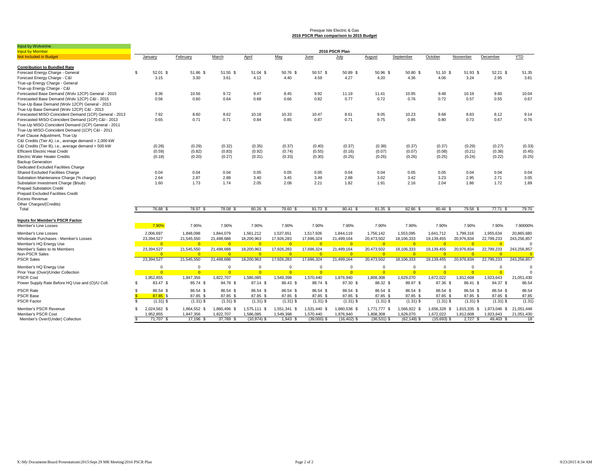#### Presque Isle Electric & Gas **2016 PSCR Plan comparison to 2015 Budget**

| Input by Wolverine                                                                           |                |                        |                        |                        |                             |                       |                            |                             |                            |                             |                            |                         |                          |                  |
|----------------------------------------------------------------------------------------------|----------------|------------------------|------------------------|------------------------|-----------------------------|-----------------------|----------------------------|-----------------------------|----------------------------|-----------------------------|----------------------------|-------------------------|--------------------------|------------------|
| <b>Input by Member</b>                                                                       |                |                        |                        |                        |                             |                       |                            | 2016 PSCR Plan              |                            |                             |                            |                         |                          |                  |
| Not Included in Budget                                                                       |                | January                | February               | March                  | April                       | May                   | June                       | July                        | August                     | September                   | October                    | November                | December                 | <b>YTD</b>       |
| <b>Contribution to Bundled Rate</b>                                                          |                |                        |                        |                        |                             |                       |                            |                             |                            |                             |                            |                         |                          |                  |
| Forecast Energy Charge - General                                                             | \$.            | 52.01 \$               | 51.86 \$               | 51.55 \$               | 51.04 \$                    | 50.76 \$              | 50.57 \$                   | 50.89 \$                    | 50.96 \$                   | 50.80 \$                    | $51.10$ \$                 | 51.93 \$                | 52.21 \$                 | 51.35            |
| Forecast Energy Charge - C&I                                                                 |                | 3.15                   | 3.30                   | 3.61                   | 4.12                        | 4.40                  | 4.59                       | 4.27                        | 4.20                       | 4.36                        | 4.06                       | 3.24                    | 2.95                     | 3.81             |
| True-up Energy Charge - General                                                              |                |                        |                        |                        |                             |                       |                            |                             |                            |                             |                            |                         |                          |                  |
| True-up Energy Charge - C&I                                                                  |                |                        |                        |                        |                             |                       |                            |                             |                            |                             |                            |                         |                          |                  |
| Forecasted Base Demand (Wolv 12CP) General - 2015                                            |                | 9.36                   | 10.56                  | 9.72                   | 9.47                        | 8.45                  | 9.92                       | 11.19                       | 11.41                      | 10.95                       | 9.48                       | 10.19                   | 9.60                     | 10.04            |
| Forecasted Base Demand (Wolv 12CP) C&I - 2015                                                |                | 0.56                   | 0.60                   | 0.64                   | 0.68                        | 0.66                  | 0.82                       | 0.77                        | 0.72                       | 0.76                        | 0.72                       | 0.57                    | 0.55                     | 0.67             |
| True-Up Base Demand (Wolv 12CP) General - 2013<br>True-Up Base Demand (Wolv 12CP) C&I - 2013 |                |                        |                        |                        |                             |                       |                            |                             |                            |                             |                            |                         |                          |                  |
| Forecasted MISO-Coincident Demand (1CP) General - 2013                                       |                | 7.92                   | 8.60                   | 8.62                   | 10.18                       | 10.33                 | 10.47                      | 8.61                        | 9.05                       | 10.23                       | 9.68                       | 8.83                    | 8.12                     | 9.14             |
| Forecasted MISO-Coincident Demand (1CP) C&I - 2013                                           |                | 0.65                   | 0.71                   | 0.71                   | 0.84                        | 0.85                  | 0.87                       | 0.71                        | 0.75                       | 0.85                        | 0.80                       | 0.73                    | 0.67                     | 0.76             |
| True-Up MISO-Coincident Demand (1CP) General - 2011                                          |                |                        |                        |                        |                             |                       |                            |                             |                            |                             |                            |                         |                          |                  |
| True-Up MISO-Coincident Demand (1CP) C&I - 2011                                              |                |                        |                        |                        |                             |                       |                            |                             |                            |                             |                            |                         |                          |                  |
|                                                                                              |                |                        |                        |                        |                             |                       |                            |                             |                            |                             |                            |                         |                          |                  |
| Fuel Clause Adjustment, True Up                                                              |                |                        |                        |                        |                             |                       |                            |                             |                            |                             |                            |                         |                          |                  |
| C&I Credits (Tier A); i.e., average demand > 2,000 kW                                        |                |                        |                        |                        |                             |                       |                            |                             |                            |                             |                            |                         |                          |                  |
| C&I Credits (Tier B); i.e., average demand > 500 kW                                          |                | (0.28)                 | (0.29)                 | (0.32)                 | (0.35)                      | (0.37)                | (0.40)                     | (0.37)                      | (0.38)                     | (0.37)                      | (0.37)                     | (0.29)                  | (0.27)                   | (0.33)           |
| <b>Efficient Electric Heat Credit</b>                                                        |                | (0.59)                 | (0.82)                 | (0.83)                 | (0.92)                      | (0.74)                | (0.55)                     | (0.16)                      | (0.07)                     | (0.07)                      | (0.08)                     | (0.21)                  | (0.38)                   | (0.45)           |
| <b>Electric Water Heater Credits</b>                                                         |                | (0.18)                 | (0.20)                 | (0.27)                 | (0.31)                      | (0.33)                | (0.30)                     | (0.25)                      | (0.26)                     | (0.26)                      | (0.25)                     | (0.24)                  | (0.22)                   | (0.25)           |
| <b>Backup Generation</b>                                                                     |                |                        |                        |                        |                             |                       |                            |                             |                            |                             |                            |                         |                          |                  |
| Dedicated Excluded Facilities Charge                                                         |                |                        | 0.04                   | 0.04                   |                             |                       | 0.05                       |                             | 0.04                       |                             |                            | 0.04                    | 0.04                     |                  |
| Shared Excluded Facilities Charge                                                            |                | 0.04                   |                        |                        | 0.05                        | 0.05                  |                            | 0.04                        |                            | 0.05                        | 0.05                       |                         |                          | 0.04             |
| Substation Maintenance Charge (% charge)<br>Substation Investment Charge (\$/sub)            |                | 2.64<br>1.60           | 2.87<br>1.73           | 2.88<br>1.74           | 3.40<br>2.05                | 3.45<br>2.08          | 3.49<br>2.21               | 2.88                        | 3.02<br>1.91               | 3.42<br>2.16                | 3.23<br>2.04               | 2.95<br>1.86            | 2.71<br>1.72             | 3.05<br>1.89     |
| <b>Prepaid Substation Credit</b>                                                             |                |                        |                        |                        |                             |                       |                            | 1.82                        |                            |                             |                            |                         |                          |                  |
| Prepaid Excluded Facilities Credit                                                           |                |                        |                        |                        |                             |                       |                            |                             |                            |                             |                            |                         |                          |                  |
| <b>Excess Revenue</b>                                                                        |                |                        |                        |                        |                             |                       |                            |                             |                            |                             |                            |                         |                          |                  |
|                                                                                              |                |                        |                        |                        |                             |                       |                            |                             |                            |                             |                            |                         |                          |                  |
| Other Charges/(Credits)<br>Total                                                             |                | 76.88 \$               | 78.97 \$               | 78.08 \$               | 80.26 \$                    | 79.60 \$              | 81.73 \$                   | 80.41 \$                    | 81.35 \$                   | 82.86 \$                    | 80.46 \$                   | 79.58 \$                | 77.71 \$                 | 79.70            |
|                                                                                              |                |                        |                        |                        |                             |                       |                            |                             |                            |                             |                            |                         |                          |                  |
| <b>Inputs for Member's PSCR Factor</b>                                                       |                |                        |                        |                        |                             |                       |                            |                             |                            |                             |                            |                         |                          |                  |
| Member's Line Losses                                                                         |                | 7.90%                  | 7.90%                  | 7.90%                  | 7.90%                       | 7.90%                 | 7.90%                      | 7.90%                       | 7.90%                      | 7.90%                       | 7.90%                      | 7.90%                   | 7.90%                    | 7.90000%         |
| Member's Line Losses                                                                         |                | 2,006,697              | 1,848,098              | 1,844,079              | 1,561,212                   | 1,537,651             | 1,517,926                  | 1,844,119                   | 1,756,142                  | 1,553,095                   | 1,641,712                  | 1,799,316               | 1,955,634                | 20,865,680       |
| Wholesale Purchases - Member's Losses                                                        |                | 23,394,527             | 21,545,550             | 21,498,688             | 18,200,963                  | 17,926,283            | 17,696,324                 | 21,499,164                  | 20,473,502                 | 18,106,333                  | 19,139,455                 | 20,976,834              | 22,799,233               | 243,256,857      |
| Member's HQ Energy Use                                                                       |                | $\overline{0}$         | $\overline{0}$         | $\overline{0}$         | $\overline{0}$              | $\overline{0}$        | $\overline{0}$             | $\overline{0}$              | $\overline{0}$             | $\Omega$                    | $\overline{0}$             | $\overline{0}$          | $\overline{0}$           | $\Omega$         |
| Member's Sales to its Members                                                                |                | 23,394,527             | 21,545,550             | 21,498,688             | 18,200,963                  | 17,926,283            | 17,696,324                 | 21,499,164                  | 20,473,502                 | 18,106,333                  | 19,139,455                 | 20,976,834              | 22,799,233               | 243,256,857      |
| Non-PSCR Sales                                                                               |                | $\Omega$               | $\Omega$               | $\Omega$               | $\Omega$                    | $\overline{0}$        | $\Omega$                   | $\overline{0}$              | $\overline{0}$             | $\Omega$                    | $\Omega$                   | $\Omega$                | $\Omega$                 | $\overline{0}$   |
| <b>PSCR Sales</b>                                                                            |                | 23,394,527             | 21,545,550             | 21,498,688             | 18,200,963                  | 17,926,283            | 17,696,324                 | 21,499,164                  | 20,473,502                 | 18,106,333                  | 19,139,455                 | 20,976,834              | 22,799,233               | 243,256,857      |
| Member's HQ Energy Use                                                                       |                | $\Omega$               | $\mathbf 0$            | $\Omega$               | $\Omega$                    | $\mathbf 0$           | $\Omega$                   | $\mathbf 0$                 | $\Omega$                   | $\Omega$                    | $^{\circ}$                 | $\mathbf 0$             | $^{\circ}$               | $\Omega$         |
| Prior Year (Over)/Under Collection                                                           |                | $\Omega$               | $\overline{0}$         | $\Omega$               | $\Omega$                    | $\overline{0}$        | $\Omega$                   | $\overline{0}$              | $\Omega$                   | $\Omega$                    | $\Omega$                   | $\Omega$                | $\overline{0}$           | $\Omega$         |
| <b>PSCR Cost</b>                                                                             |                | 1.952.855              | 1,847,356              | 1,822,707              | 1,586,085                   | 1,549,398             | 1,570,440                  | 1,876,940                   | 1,808,308                  | 1,629,070                   | 1,672,022                  | 1,812,608               | 1,923,643                | 21,051,430       |
| Power Supply Rate Before HQ Use and (O)/U Coll.                                              | S.             | 83.47 \$               | 85.74 \$               | 84.78 \$               | 87.14 \$                    | 86.43 \$              | 88.74 \$                   | 87.30 \$                    | 88.32 \$                   | 89.97 \$                    | 87.36 \$                   | 86.41 \$                | 84.37 \$                 | 86.54            |
| <b>PSCR Rate</b>                                                                             | \$             | 86.54 \$               | 86.54 \$               | 86.54 \$               | 86.54 \$                    | 86.54 \$              | 86.54 \$                   | 86.54 \$                    | 86.54 \$                   | 86.54 \$                    | 86.54 \$                   | 86.54 \$                | 86.54 \$                 | 86.54            |
| <b>PSCR Base</b>                                                                             | <b>S</b>       | $87.85$ \$             | 87.85 \$               | 87.85 \$               | 87.85 \$                    | 87.85 \$              | 87.85 \$                   | 87.85 \$                    | 87.85 \$                   | 87.85 \$                    | 87.85 \$                   | 87.85 \$                | 87.85 \$                 | 87.85            |
| <b>PSCR Factor</b>                                                                           | $\mathfrak{L}$ | $(1.31)$ \$            | $(1.31)$ \$            | $(1.31)$ \$            | $(1.31)$ \$                 | $(1.31)$ \$           | $(1.31)$ \$                | $(1.31)$ \$                 | $(1.31)$ \$                | $(1.31)$ \$                 | $(1.31)$ \$                | $(1.31)$ \$             | $(1.31)$ \$              | (1.31)           |
|                                                                                              |                |                        |                        |                        |                             |                       |                            |                             |                            |                             |                            |                         |                          |                  |
| Member's PSCR Revenue<br>Member's PSCR Cost                                                  | \$.            | 2,024,562 \$           | 1,864,552 \$           | 1,860,496 \$           | 1,575,111 \$                | 1,551,341 \$          | 1,531,440 \$               | 1,860,538 \$                | 1,771,777 \$               | 1,566,922 \$                | 1,656,328 \$               | 1,815,335 \$            | 1,973,046 \$ 21,051,448  |                  |
| Member's Over/(Under) Collection                                                             | \$             | 1.952.855<br>71.707 \$ | 1,847,356<br>17.196 \$ | 1.822.707<br>37,789 \$ | 1.586.085<br>$(10, 974)$ \$ | 1,549,398<br>1,943 \$ | 1,570,440<br>$(39,000)$ \$ | 1,876,940<br>$(16, 402)$ \$ | 1.808.308<br>$(36,531)$ \$ | 1,629,070<br>$(62, 148)$ \$ | 1.672.022<br>$(15,693)$ \$ | 1,812,608<br>$2,727$ \$ | 1,923,643<br>$49,403$ \$ | 21,051,430<br>18 |
|                                                                                              |                |                        |                        |                        |                             |                       |                            |                             |                            |                             |                            |                         |                          |                  |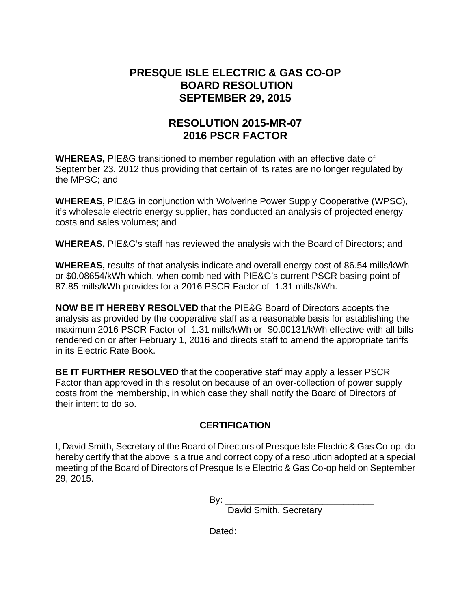### **PRESQUE ISLE ELECTRIC & GAS CO-OP BOARD RESOLUTION SEPTEMBER 29, 2015**

## **RESOLUTION 2015-MR-07 2016 PSCR FACTOR**

**WHEREAS,** PIE&G transitioned to member regulation with an effective date of September 23, 2012 thus providing that certain of its rates are no longer regulated by the MPSC; and

**WHEREAS,** PIE&G in conjunction with Wolverine Power Supply Cooperative (WPSC), it's wholesale electric energy supplier, has conducted an analysis of projected energy costs and sales volumes; and

**WHEREAS,** PIE&G's staff has reviewed the analysis with the Board of Directors; and

**WHEREAS,** results of that analysis indicate and overall energy cost of 86.54 mills/kWh or \$0.08654/kWh which, when combined with PIE&G's current PSCR basing point of 87.85 mills/kWh provides for a 2016 PSCR Factor of -1.31 mills/kWh.

**NOW BE IT HEREBY RESOLVED** that the PIE&G Board of Directors accepts the analysis as provided by the cooperative staff as a reasonable basis for establishing the maximum 2016 PSCR Factor of -1.31 mills/kWh or -\$0.00131/kWh effective with all bills rendered on or after February 1, 2016 and directs staff to amend the appropriate tariffs in its Electric Rate Book.

**BE IT FURTHER RESOLVED** that the cooperative staff may apply a lesser PSCR Factor than approved in this resolution because of an over-collection of power supply costs from the membership, in which case they shall notify the Board of Directors of their intent to do so.

### **CERTIFICATION**

I, David Smith, Secretary of the Board of Directors of Presque Isle Electric & Gas Co-op, do hereby certify that the above is a true and correct copy of a resolution adopted at a special meeting of the Board of Directors of Presque Isle Electric & Gas Co-op held on September 29, 2015.

By: \_\_\_\_\_\_\_\_\_\_\_\_\_\_\_\_\_\_\_\_\_\_\_\_\_\_\_\_\_

David Smith, Secretary

Dated: \_\_\_\_\_\_\_\_\_\_\_\_\_\_\_\_\_\_\_\_\_\_\_\_\_\_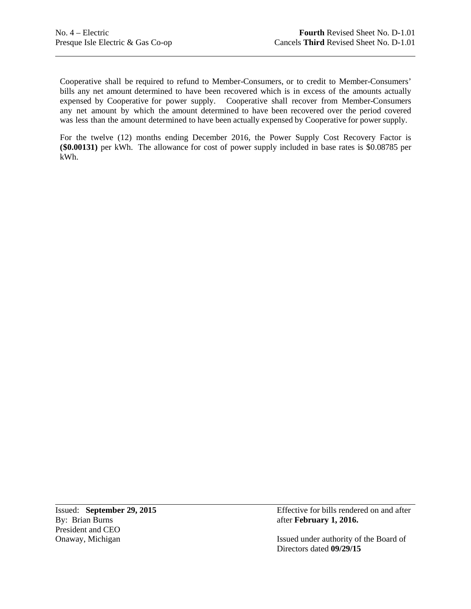Cooperative shall be required to refund to Member-Consumers, or to credit to Member-Consumers' bills any net amount determined to have been recovered which is in excess of the amounts actually was less than the amount determined to have been actually expensed by Cooperative for power supply. expensed by Cooperative for power supply. Cooperative shall recover from Member-Consumers any net amount by which the amount determined to have been recovered over the period covered

 For the twelve (12) months ending December 2016, the Power Supply Cost Recovery Factor is **(\$0.00131)** per kWh. The allowance for cost of power supply included in base rates is \$0.08785 per kWh.

President and CEO

Issued: **September 29, 2015 Effective for bills rendered on and after By: Brian Burns after February 1, 2016.** after **February 1, 2016.** 

Onaway, Michigan Issued under authority of the Board of Directors dated **09/29/15**